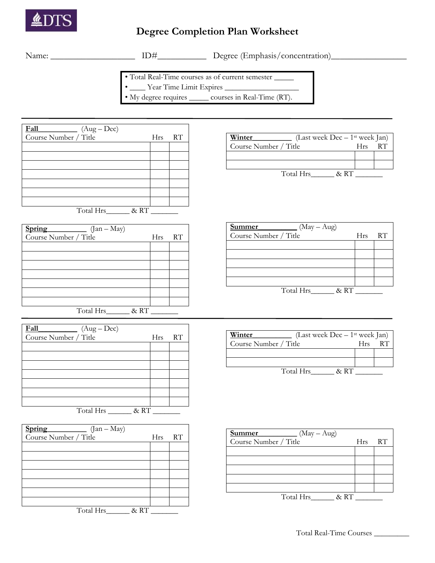

## **Degree Completion Plan Worksheet**

ID#\_\_\_\_\_\_\_\_\_\_\_\_\_\_\_ Degree (Emphasis/concentration)\_\_\_\_\_\_\_\_\_\_\_\_\_\_\_\_\_\_\_\_\_\_\_\_\_\_\_\_\_\_

• Total Real-Time courses as of current semester \_\_\_\_\_

• \_\_\_\_ Year Time Limit Expires \_\_\_\_\_\_\_\_\_\_\_\_\_\_\_\_\_\_\_

• My degree requires \_\_\_\_\_ courses in Real-Time (RT).

| Fall<br>$(Aug - Dec)$ |            |    |
|-----------------------|------------|----|
| Course Number / Title | <b>Hrs</b> | RT |
|                       |            |    |
|                       |            |    |
|                       |            |    |
|                       |            |    |
|                       |            |    |
|                       |            |    |
|                       |            |    |
| Total Hrs             | &RT        |    |

| Spring<br>$(Jan - May)$ |            |    |
|-------------------------|------------|----|
| Course Number / Title   | <b>Hrs</b> | RT |
|                         |            |    |
|                         |            |    |
|                         |            |    |
|                         |            |    |
|                         |            |    |
|                         |            |    |
|                         |            |    |
| Total Hrs<br>&RT        |            |    |

| Fall<br>$(Aug - Dec)$ |            |    |
|-----------------------|------------|----|
| Course Number / Title | <b>Hrs</b> | RT |
|                       |            |    |
|                       |            |    |
|                       |            |    |
|                       |            |    |
|                       |            |    |
|                       |            |    |
|                       |            |    |
| Total Hrs             | & RT       |    |

| Spring<br>$(Jan - May)$ |     |    |
|-------------------------|-----|----|
| Course Number / Title   | Hrs | RT |
|                         |     |    |
|                         |     |    |
|                         |     |    |
|                         |     |    |
|                         |     |    |
|                         |     |    |
|                         |     |    |
| Total Hrs<br>& RT       |     |    |

| (Last week $Dec - 1$ <sup>st</sup> week Jan)<br>Winter |      |    |
|--------------------------------------------------------|------|----|
| Course Number / Title                                  | Hrs. | RT |
|                                                        |      |    |
|                                                        |      |    |
| Total Hrs<br>$\&$ RT                                   |      |    |

| Summer<br>$(May - Aug)$ |     |    |
|-------------------------|-----|----|
| Course Number / Title   | Hrs | RT |
|                         |     |    |
|                         |     |    |
|                         |     |    |
|                         |     |    |
|                         |     |    |
| & RT<br>Total Hrs       |     |    |

| Winter<br>(Last week $Dec - 1$ <sup>st</sup> week Jan) |        |  |
|--------------------------------------------------------|--------|--|
| Course Number / Title                                  | $H$ rs |  |
|                                                        |        |  |
|                                                        |        |  |
| Total Hrs<br>$\&$ RT                                   |        |  |

| Summer<br>$(May - Aug)$ |     |    |
|-------------------------|-----|----|
| Course Number / Title   | Hrs | RT |
|                         |     |    |
|                         |     |    |
|                         |     |    |
|                         |     |    |
|                         |     |    |
| Total Hrs<br>&RT        |     |    |